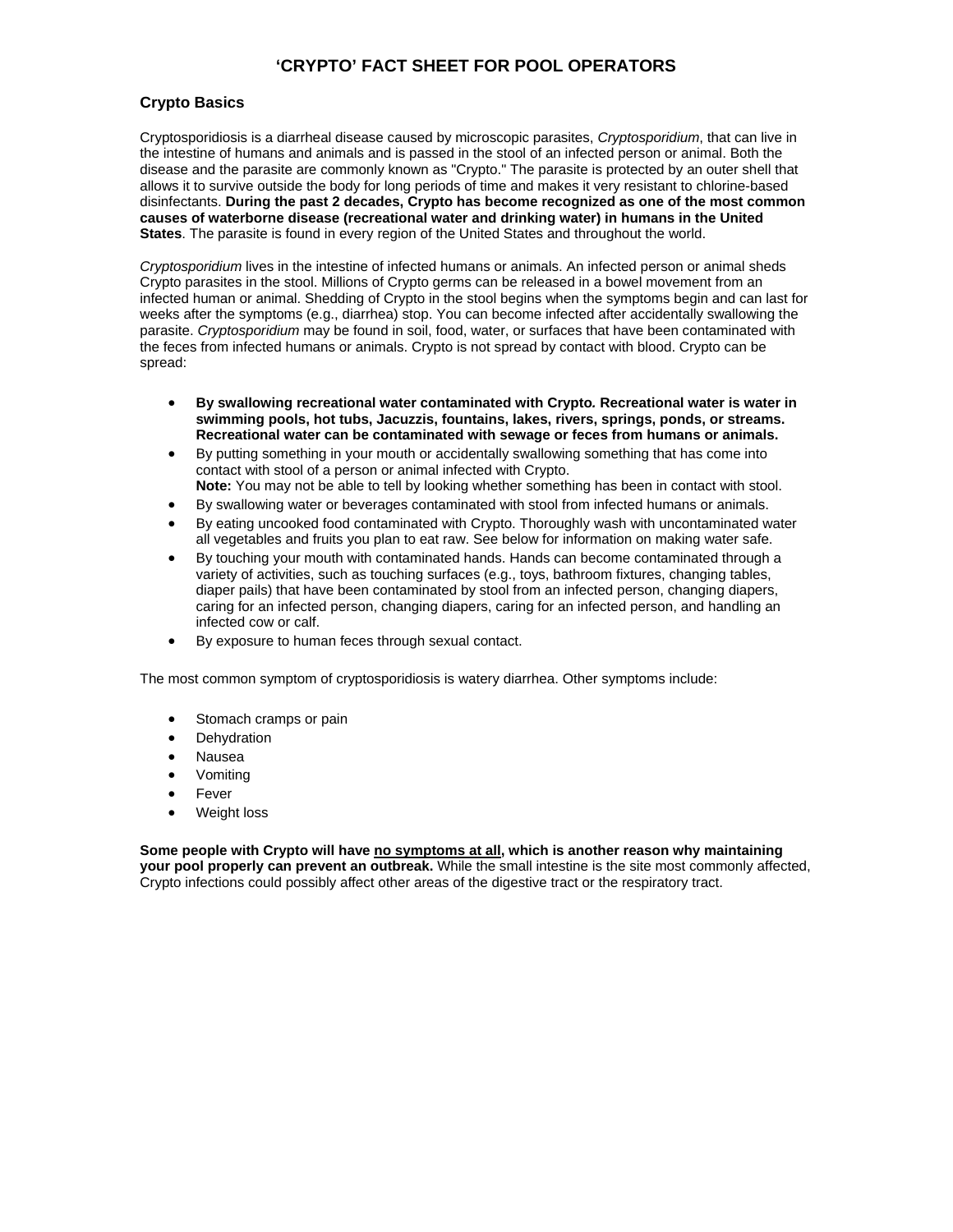# **'CRYPTO' FACT SHEET FOR POOL OPERATORS**

## **Crypto Basics**

Cryptosporidiosis is a diarrheal disease caused by microscopic parasites, *Cryptosporidium*, that can live in the intestine of humans and animals and is passed in the stool of an infected person or animal. Both the disease and the parasite are commonly known as "Crypto." The parasite is protected by an outer shell that allows it to survive outside the body for long periods of time and makes it very resistant to chlorine-based disinfectants. **During the past 2 decades, Crypto has become recognized as one of the most common causes of waterborne disease (recreational water and drinking water) in humans in the United States**. The parasite is found in every region of the United States and throughout the world.

*Cryptosporidium* lives in the intestine of infected humans or animals. An infected person or animal sheds Crypto parasites in the stool. Millions of Crypto germs can be released in a bowel movement from an infected human or animal. Shedding of Crypto in the stool begins when the symptoms begin and can last for weeks after the symptoms (e.g., diarrhea) stop. You can become infected after accidentally swallowing the parasite. *Cryptosporidium* may be found in soil, food, water, or surfaces that have been contaminated with the feces from infected humans or animals. Crypto is not spread by contact with blood. Crypto can be spread:

- **By swallowing recreational water contaminated with Crypto***.* **Recreational water is water in swimming pools, hot tubs, Jacuzzis, fountains, lakes, rivers, springs, ponds, or streams. Recreational water can be contaminated with sewage or feces from humans or animals.**
- By putting something in your mouth or accidentally swallowing something that has come into contact with stool of a person or animal infected with Crypto.
- **Note:** You may not be able to tell by looking whether something has been in contact with stool.
- By swallowing water or beverages contaminated with stool from infected humans or animals. • By eating uncooked food contaminated with Crypto. Thoroughly wash with uncontaminated water
- all vegetables and fruits you plan to eat raw. See below for information on making water safe. • By touching your mouth with contaminated hands. Hands can become contaminated through a
- variety of activities, such as touching surfaces (e.g., toys, bathroom fixtures, changing tables, diaper pails) that have been contaminated by stool from an infected person, changing diapers, caring for an infected person, changing diapers, caring for an infected person, and handling an infected cow or calf.
- By exposure to human feces through sexual contact.

The most common symptom of cryptosporidiosis is watery diarrhea. Other symptoms include:

- Stomach cramps or pain
- **Dehydration**
- Nausea
- Vomiting
- **Fever**
- Weight loss

**Some people with Crypto will have no symptoms at all, which is another reason why maintaining your pool properly can prevent an outbreak.** While the small intestine is the site most commonly affected, Crypto infections could possibly affect other areas of the digestive tract or the respiratory tract.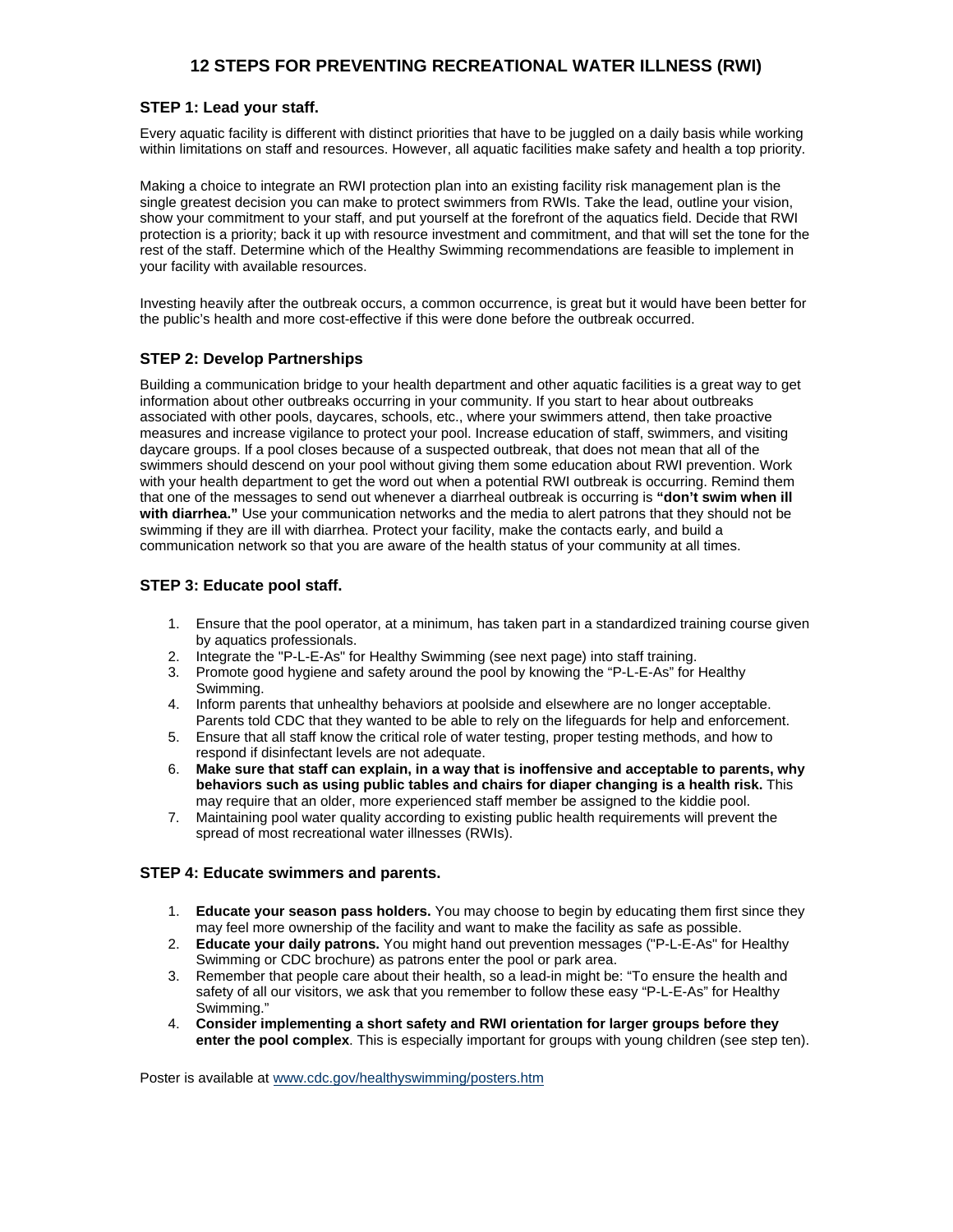# **12 STEPS FOR PREVENTING RECREATIONAL WATER ILLNESS (RWI)**

## **STEP 1: Lead your staff.**

Every aquatic facility is different with distinct priorities that have to be juggled on a daily basis while working within limitations on staff and resources. However, all aquatic facilities make safety and health a top priority.

Making a choice to integrate an RWI protection plan into an existing facility risk management plan is the single greatest decision you can make to protect swimmers from RWIs. Take the lead, outline your vision, show your commitment to your staff, and put yourself at the forefront of the aquatics field. Decide that RWI protection is a priority; back it up with resource investment and commitment, and that will set the tone for the rest of the staff. Determine which of the Healthy Swimming recommendations are feasible to implement in your facility with available resources.

Investing heavily after the outbreak occurs, a common occurrence, is great but it would have been better for the public's health and more cost-effective if this were done before the outbreak occurred.

## **STEP 2: Develop Partnerships**

Building a communication bridge to your health department and other aquatic facilities is a great way to get information about other outbreaks occurring in your community. If you start to hear about outbreaks associated with other pools, daycares, schools, etc., where your swimmers attend, then take proactive measures and increase vigilance to protect your pool. Increase education of staff, swimmers, and visiting daycare groups. If a pool closes because of a suspected outbreak, that does not mean that all of the swimmers should descend on your pool without giving them some education about RWI prevention. Work with your health department to get the word out when a potential RWI outbreak is occurring. Remind them that one of the messages to send out whenever a diarrheal outbreak is occurring is **"don't swim when ill with diarrhea."** Use your communication networks and the media to alert patrons that they should not be swimming if they are ill with diarrhea. Protect your facility, make the contacts early, and build a communication network so that you are aware of the health status of your community at all times.

## **STEP 3: Educate pool staff.**

- 1. Ensure that the pool operator, at a minimum, has taken part in a standardized training course given by aquatics professionals.
- 2. Integrate the "P-L-E-As" for Healthy Swimming (see next page) into staff training.
- 3. Promote good hygiene and safety around the pool by knowing the "P-L-E-As" for Healthy Swimming.
- 4. Inform parents that unhealthy behaviors at poolside and elsewhere are no longer acceptable. Parents told CDC that they wanted to be able to rely on the lifeguards for help and enforcement.
- 5. Ensure that all staff know the critical role of water testing, proper testing methods, and how to respond if disinfectant levels are not adequate.
- 6. **Make sure that staff can explain, in a way that is inoffensive and acceptable to parents, why behaviors such as using public tables and chairs for diaper changing is a health risk.** This may require that an older, more experienced staff member be assigned to the kiddie pool.
- 7. Maintaining pool water quality according to existing public health requirements will prevent the spread of most recreational water illnesses (RWIs).

### **STEP 4: Educate swimmers and parents.**

- 1. **Educate your season pass holders.** You may choose to begin by educating them first since they may feel more ownership of the facility and want to make the facility as safe as possible.
- 2. **Educate your daily patrons.** You might hand out prevention messages ("P-L-E-As" for Healthy Swimming or CDC brochure) as patrons enter the pool or park area.
- 3. Remember that people care about their health, so a lead-in might be: "To ensure the health and safety of all our visitors, we ask that you remember to follow these easy "P-L-E-As" for Healthy Swimming."
- 4. **Consider implementing a short safety and RWI orientation for larger groups before they enter the pool complex**. This is especially important for groups with young children (see step ten).

Poster is available at www.cdc.gov/healthyswimming/posters.htm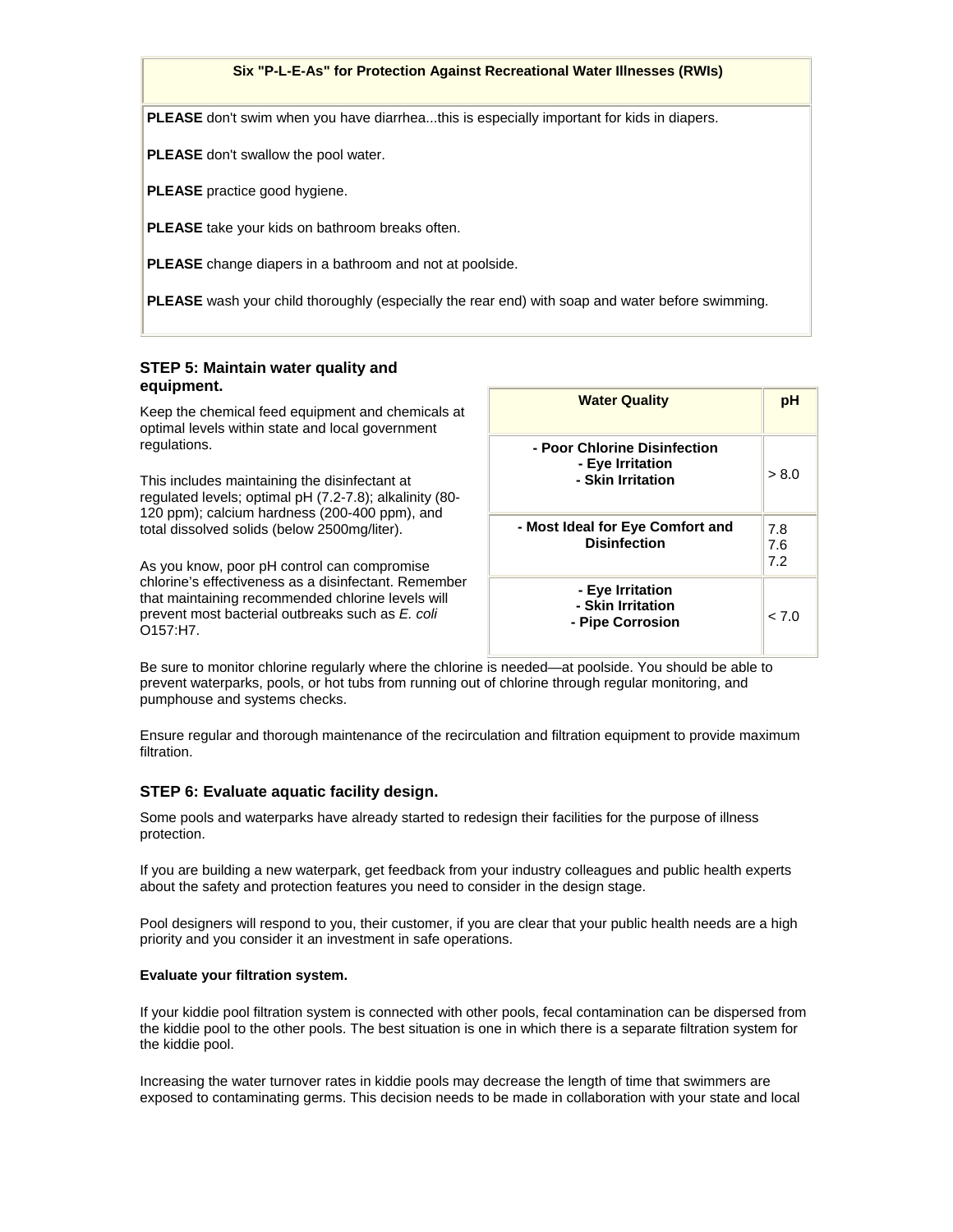#### **Six "P-L-E-As" for Protection Against Recreational Water Illnesses (RWIs)**

**PLEASE** don't swim when you have diarrhea...this is especially important for kids in diapers.

**PLEASE** don't swallow the pool water.

**PLEASE** practice good hygiene.

**PLEASE** take your kids on bathroom breaks often.

**PLEASE** change diapers in a bathroom and not at poolside.

**PLEASE** wash your child thoroughly (especially the rear end) with soap and water before swimming.

## **STEP 5: Maintain water quality and equipment.**

Keep the chemical feed equipment and chemicals at optimal levels within state and local government regulations.

This includes maintaining the disinfectant at regulated levels; optimal pH (7.2-7.8); alkalinity (80- 120 ppm); calcium hardness (200-400 ppm), and total dissolved solids (below 2500mg/liter).

As you know, poor pH control can compromise chlorine's effectiveness as a disinfectant. Remember that maintaining recommended chlorine levels will prevent most bacterial outbreaks such as *E. coli* O157:H7.

| <b>Water Quality</b>                                                  | рH                |  |  |
|-----------------------------------------------------------------------|-------------------|--|--|
| - Poor Chlorine Disinfection<br>- Eye Irritation<br>- Skin Irritation | > 8.0             |  |  |
| - Most Ideal for Eye Comfort and<br><b>Disinfection</b>               | 7.8<br>7.6<br>7.2 |  |  |
| - Eye Irritation<br>- Skin Irritation<br>- Pipe Corrosion             | 0 7 ے             |  |  |

Be sure to monitor chlorine regularly where the chlorine is needed—at poolside. You should be able to prevent waterparks, pools, or hot tubs from running out of chlorine through regular monitoring, and pumphouse and systems checks.

Ensure regular and thorough maintenance of the recirculation and filtration equipment to provide maximum filtration.

#### **STEP 6: Evaluate aquatic facility design.**

Some pools and waterparks have already started to redesign their facilities for the purpose of illness protection.

If you are building a new waterpark, get feedback from your industry colleagues and public health experts about the safety and protection features you need to consider in the design stage.

Pool designers will respond to you, their customer, if you are clear that your public health needs are a high priority and you consider it an investment in safe operations.

#### **Evaluate your filtration system.**

If your kiddie pool filtration system is connected with other pools, fecal contamination can be dispersed from the kiddie pool to the other pools. The best situation is one in which there is a separate filtration system for the kiddie pool.

Increasing the water turnover rates in kiddie pools may decrease the length of time that swimmers are exposed to contaminating germs. This decision needs to be made in collaboration with your state and local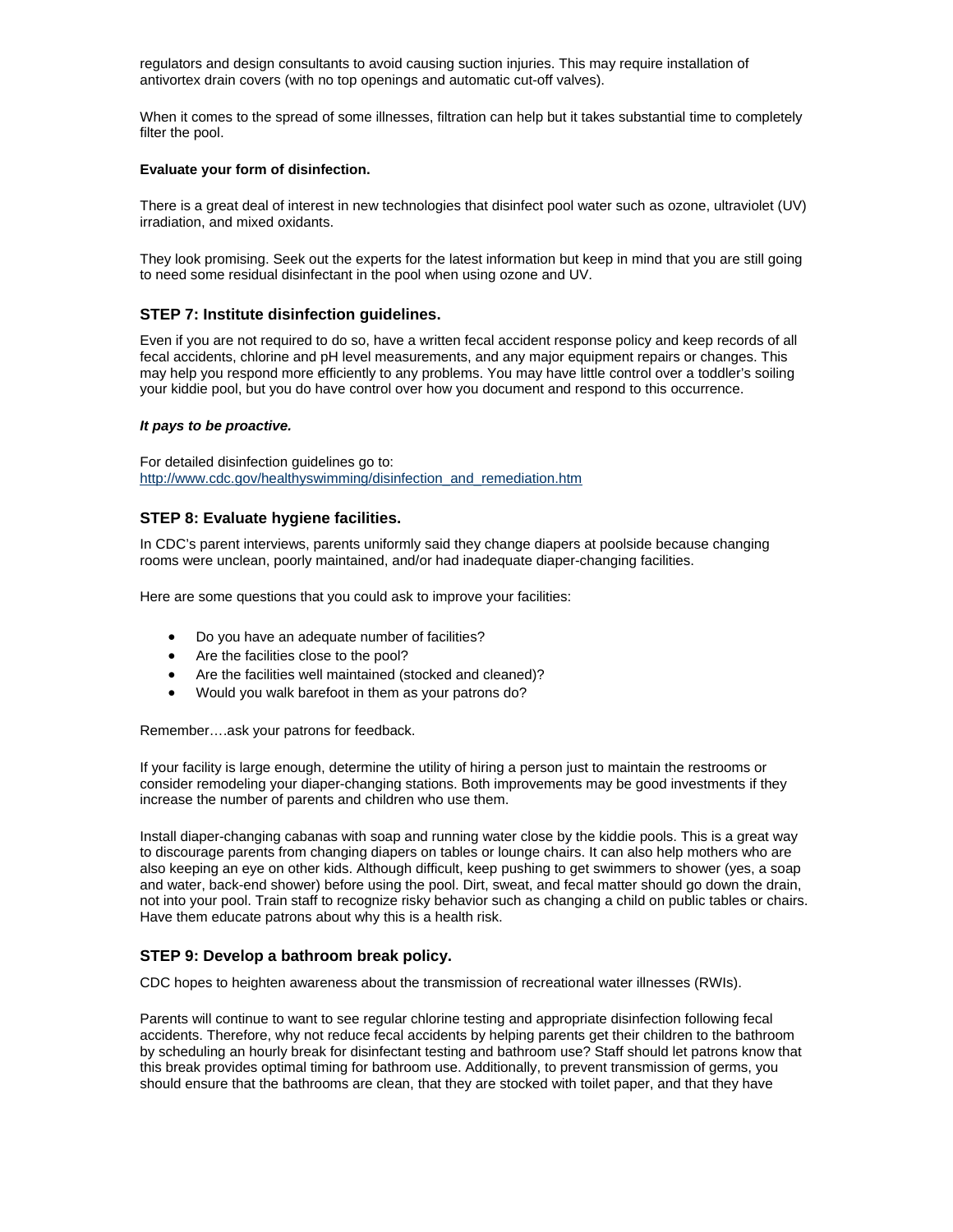regulators and design consultants to avoid causing suction injuries. This may require installation of antivortex drain covers (with no top openings and automatic cut-off valves).

When it comes to the spread of some illnesses, filtration can help but it takes substantial time to completely filter the pool.

#### **Evaluate your form of disinfection.**

There is a great deal of interest in new technologies that disinfect pool water such as ozone, ultraviolet (UV) irradiation, and mixed oxidants.

They look promising. Seek out the experts for the latest information but keep in mind that you are still going to need some residual disinfectant in the pool when using ozone and UV.

#### **STEP 7: Institute disinfection guidelines.**

Even if you are not required to do so, have a written fecal accident response policy and keep records of all fecal accidents, chlorine and pH level measurements, and any major equipment repairs or changes. This may help you respond more efficiently to any problems. You may have little control over a toddler's soiling your kiddie pool, but you do have control over how you document and respond to this occurrence.

#### *It pays to be proactive.*

For detailed disinfection guidelines go to: [http://www.cdc.gov/healthyswimming/disinfection\\_and\\_remediation.htm](http://www.cdc.gov/healthyswimming/disinfection_and_remediation.htm)

#### **STEP 8: Evaluate hygiene facilities.**

In CDC's parent interviews, parents uniformly said they change diapers at poolside because changing rooms were unclean, poorly maintained, and/or had inadequate diaper-changing facilities.

Here are some questions that you could ask to improve your facilities:

- Do you have an adequate number of facilities?
- Are the facilities close to the pool?
- Are the facilities well maintained (stocked and cleaned)?
- Would you walk barefoot in them as your patrons do?

Remember….ask your patrons for feedback.

If your facility is large enough, determine the utility of hiring a person just to maintain the restrooms or consider remodeling your diaper-changing stations. Both improvements may be good investments if they increase the number of parents and children who use them.

Install diaper-changing cabanas with soap and running water close by the kiddie pools. This is a great way to discourage parents from changing diapers on tables or lounge chairs. It can also help mothers who are also keeping an eye on other kids. Although difficult, keep pushing to get swimmers to shower (yes, a soap and water, back-end shower) before using the pool. Dirt, sweat, and fecal matter should go down the drain, not into your pool. Train staff to recognize risky behavior such as changing a child on public tables or chairs. Have them educate patrons about why this is a health risk.

#### **STEP 9: Develop a bathroom break policy.**

CDC hopes to heighten awareness about the transmission of recreational water illnesses (RWIs).

Parents will continue to want to see regular chlorine testing and appropriate disinfection following fecal accidents. Therefore, why not reduce fecal accidents by helping parents get their children to the bathroom by scheduling an hourly break for disinfectant testing and bathroom use? Staff should let patrons know that this break provides optimal timing for bathroom use. Additionally, to prevent transmission of germs, you should ensure that the bathrooms are clean, that they are stocked with toilet paper, and that they have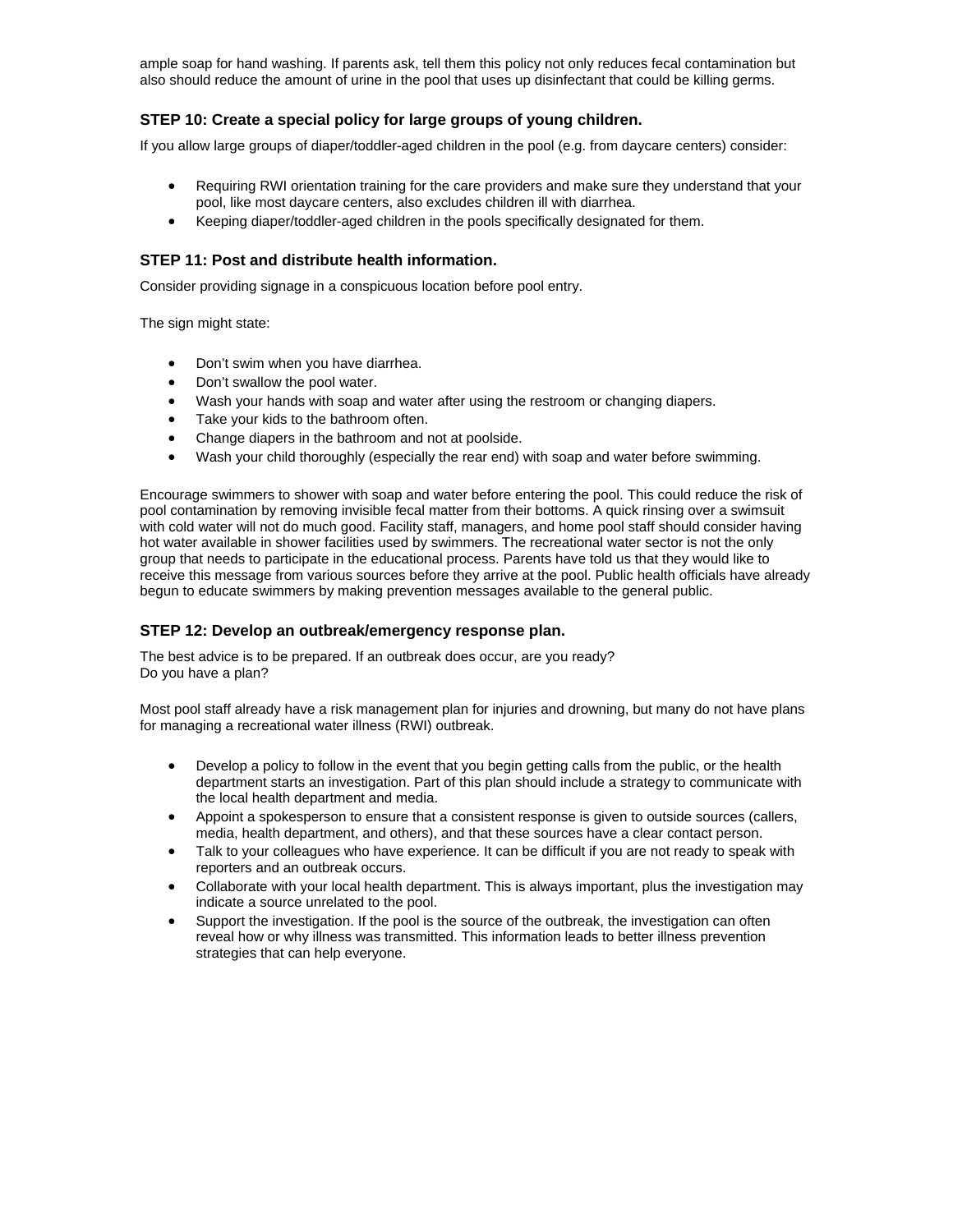ample soap for hand washing. If parents ask, tell them this policy not only reduces fecal contamination but also should reduce the amount of urine in the pool that uses up disinfectant that could be killing germs.

## **STEP 10: Create a special policy for large groups of young children.**

If you allow large groups of diaper/toddler-aged children in the pool (e.g. from daycare centers) consider:

- Requiring RWI orientation training for the care providers and make sure they understand that your pool, like most daycare centers, also excludes children ill with diarrhea.
- Keeping diaper/toddler-aged children in the pools specifically designated for them.

## **STEP 11: Post and distribute health information.**

Consider providing signage in a conspicuous location before pool entry.

The sign might state:

- Don't swim when you have diarrhea.
- Don't swallow the pool water.
- Wash your hands with soap and water after using the restroom or changing diapers.
- Take your kids to the bathroom often.
- Change diapers in the bathroom and not at poolside.
- Wash your child thoroughly (especially the rear end) with soap and water before swimming.

Encourage swimmers to shower with soap and water before entering the pool. This could reduce the risk of pool contamination by removing invisible fecal matter from their bottoms. A quick rinsing over a swimsuit with cold water will not do much good. Facility staff, managers, and home pool staff should consider having hot water available in shower facilities used by swimmers. The recreational water sector is not the only group that needs to participate in the educational process. Parents have told us that they would like to receive this message from various sources before they arrive at the pool. Public health officials have already begun to educate swimmers by making prevention messages available to the general public.

### **STEP 12: Develop an outbreak/emergency response plan.**

The best advice is to be prepared. If an outbreak does occur, are you ready? Do you have a plan?

Most pool staff already have a risk management plan for injuries and drowning, but many do not have plans for managing a recreational water illness (RWI) outbreak.

- Develop a policy to follow in the event that you begin getting calls from the public, or the health department starts an investigation. Part of this plan should include a strategy to communicate with the local health department and media.
- Appoint a spokesperson to ensure that a consistent response is given to outside sources (callers, media, health department, and others), and that these sources have a clear contact person.
- Talk to your colleagues who have experience. It can be difficult if you are not ready to speak with reporters and an outbreak occurs.
- Collaborate with your local health department. This is always important, plus the investigation may indicate a source unrelated to the pool.
- Support the investigation. If the pool is the source of the outbreak, the investigation can often reveal how or why illness was transmitted. This information leads to better illness prevention strategies that can help everyone.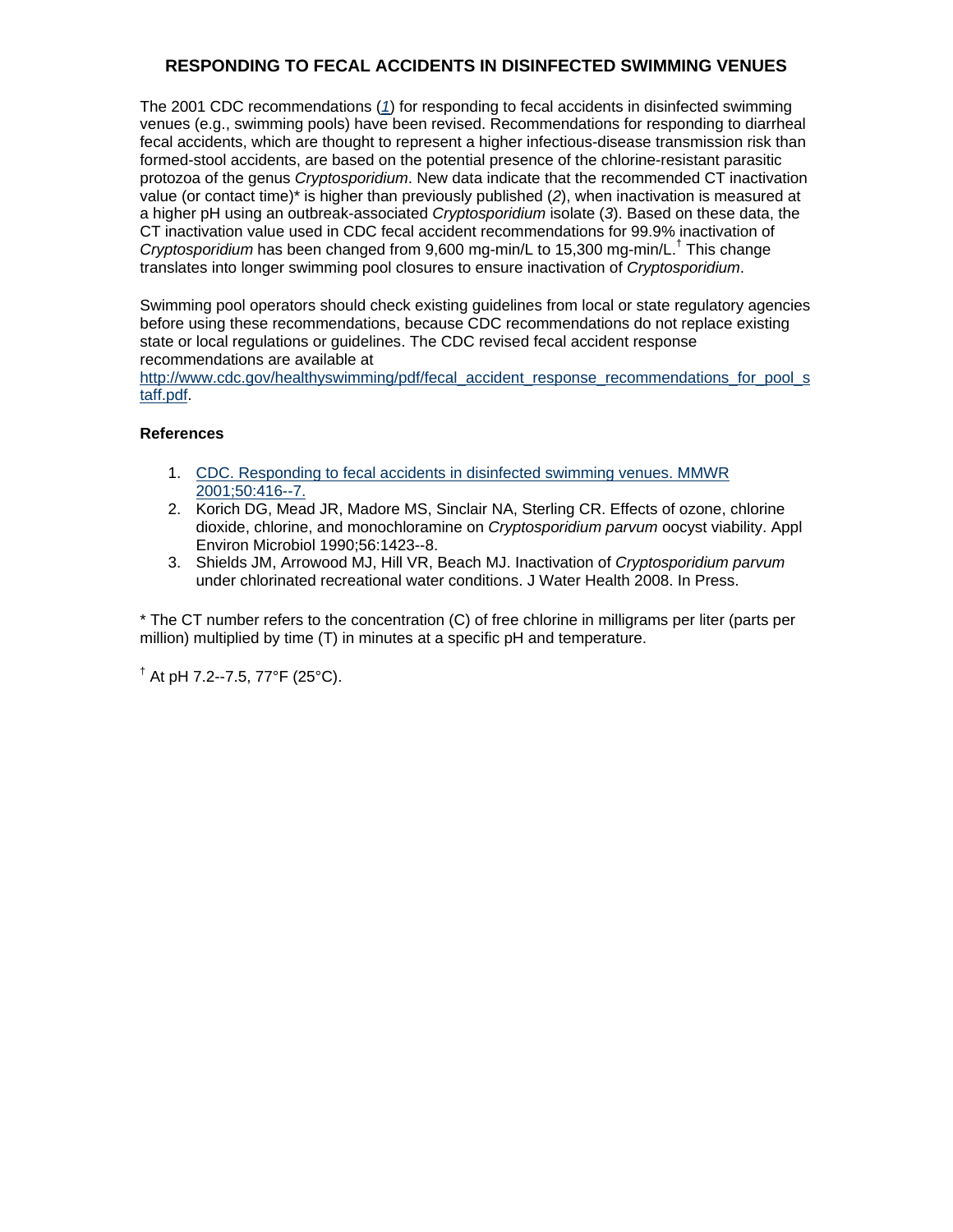# **RESPONDING TO FECAL ACCIDENTS IN DISINFECTED SWIMMING VENUES**

The 2001 CDC recommendations (*[1](http://www.cdc.gov/mmwr/preview/mmwrhtml/mm5020a7.htm)*) for responding to fecal accidents in disinfected swimming venues (e.g., swimming pools) have been revised. Recommendations for responding to diarrheal fecal accidents, which are thought to represent a higher infectious-disease transmission risk than formed-stool accidents, are based on the potential presence of the chlorine-resistant parasitic protozoa of the genus *Cryptosporidium*. New data indicate that the recommended CT inactivation value (or contact time)\* is higher than previously published (*2*), when inactivation is measured at a higher pH using an outbreak-associated *Cryptosporidium* isolate (*3*). Based on these data, the CT inactivation value used in CDC fecal accident recommendations for 99.9% inactivation of *Cryptosporidium* has been changed from 9,600 mg-min/L to 15,300 mg-min/L.† This change translates into longer swimming pool closures to ensure inactivation of *Cryptosporidium*.

Swimming pool operators should check existing guidelines from local or state regulatory agencies before using these recommendations, because CDC recommendations do not replace existing state or local regulations or guidelines. The CDC revised fecal accident response recommendations are available at

[http://www.cdc.gov/healthyswimming/pdf/fecal\\_accident\\_response\\_recommendations\\_for\\_pool\\_s](http://www.cdc.gov/healthyswimming/pdf/fecal_accident_response_recommendations_for_pool_staff.pdf) [taff.pdf.](http://www.cdc.gov/healthyswimming/pdf/fecal_accident_response_recommendations_for_pool_staff.pdf)

## **References**

- 1. [CDC. Responding to fecal accidents in disinfected swimming venues. MMWR](http://www.cdc.gov/mmwr/preview/mmwrhtml/mm5020a7.htm)  [2001;50:416--7.](http://www.cdc.gov/mmwr/preview/mmwrhtml/mm5020a7.htm)
- 2. Korich DG, Mead JR, Madore MS, Sinclair NA, Sterling CR. Effects of ozone, chlorine dioxide, chlorine, and monochloramine on *Cryptosporidium parvum* oocyst viability. Appl Environ Microbiol 1990;56:1423--8.
- 3. Shields JM, Arrowood MJ, Hill VR, Beach MJ. Inactivation of *Cryptosporidium parvum* under chlorinated recreational water conditions. J Water Health 2008. In Press.

\* The CT number refers to the concentration (C) of free chlorine in milligrams per liter (parts per million) multiplied by time (T) in minutes at a specific pH and temperature.

 $^{\dagger}$  At pH 7.2--7.5, 77°F (25°C).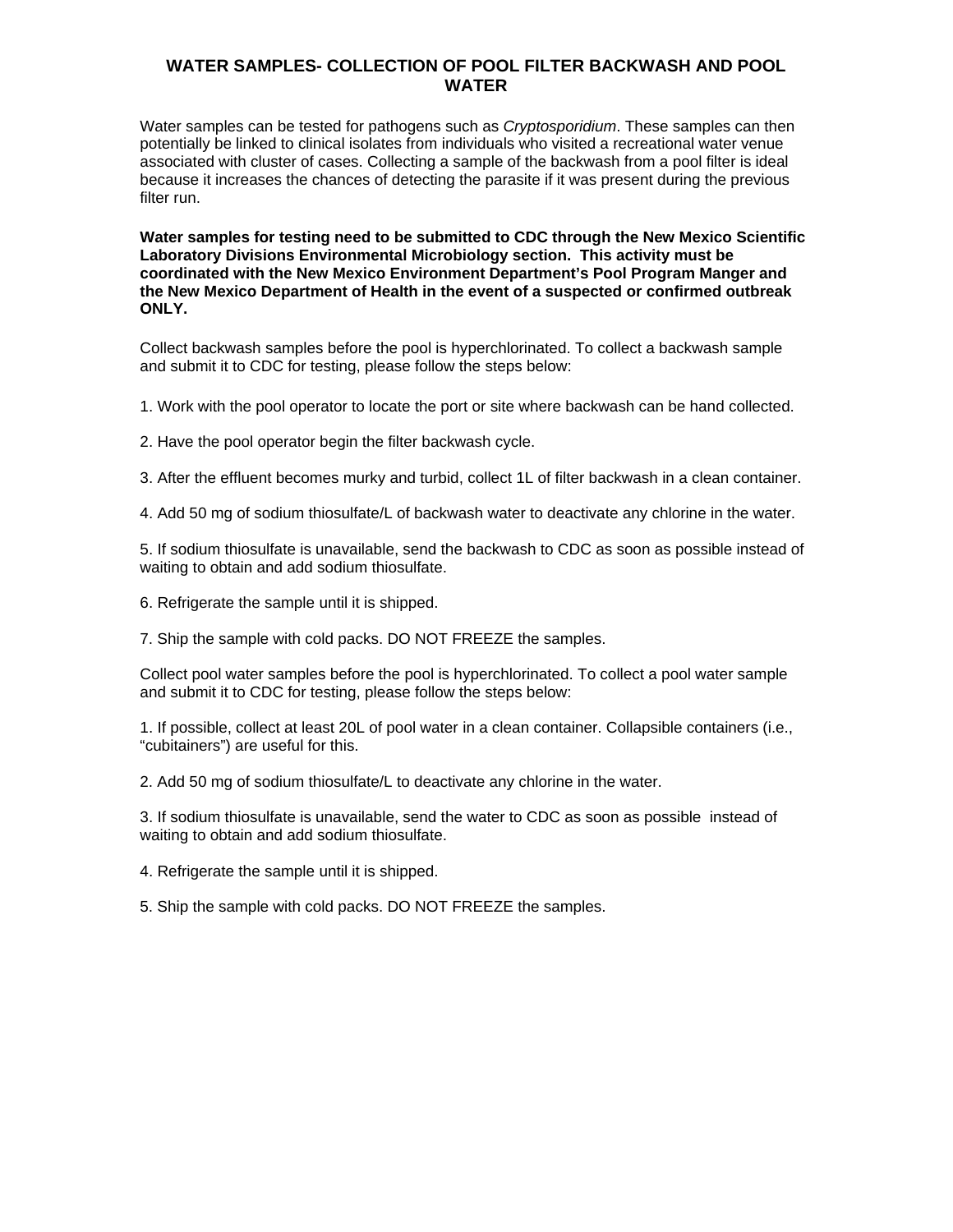## **WATER SAMPLES- COLLECTION OF POOL FILTER BACKWASH AND POOL WATER**

Water samples can be tested for pathogens such as *Cryptosporidium*. These samples can then potentially be linked to clinical isolates from individuals who visited a recreational water venue associated with cluster of cases. Collecting a sample of the backwash from a pool filter is ideal because it increases the chances of detecting the parasite if it was present during the previous filter run.

**Water samples for testing need to be submitted to CDC through the New Mexico Scientific Laboratory Divisions Environmental Microbiology section. This activity must be coordinated with the New Mexico Environment Department's Pool Program Manger and the New Mexico Department of Health in the event of a suspected or confirmed outbreak ONLY.**

Collect backwash samples before the pool is hyperchlorinated. To collect a backwash sample and submit it to CDC for testing, please follow the steps below:

1. Work with the pool operator to locate the port or site where backwash can be hand collected.

2. Have the pool operator begin the filter backwash cycle.

3. After the effluent becomes murky and turbid, collect 1L of filter backwash in a clean container.

4. Add 50 mg of sodium thiosulfate/L of backwash water to deactivate any chlorine in the water.

5. If sodium thiosulfate is unavailable, send the backwash to CDC as soon as possible instead of waiting to obtain and add sodium thiosulfate.

6. Refrigerate the sample until it is shipped.

7. Ship the sample with cold packs. DO NOT FREEZE the samples.

Collect pool water samples before the pool is hyperchlorinated. To collect a pool water sample and submit it to CDC for testing, please follow the steps below:

1. If possible, collect at least 20L of pool water in a clean container. Collapsible containers (i.e., "cubitainers") are useful for this.

2. Add 50 mg of sodium thiosulfate/L to deactivate any chlorine in the water.

3. If sodium thiosulfate is unavailable, send the water to CDC as soon as possible instead of waiting to obtain and add sodium thiosulfate.

4. Refrigerate the sample until it is shipped.

5. Ship the sample with cold packs. DO NOT FREEZE the samples.